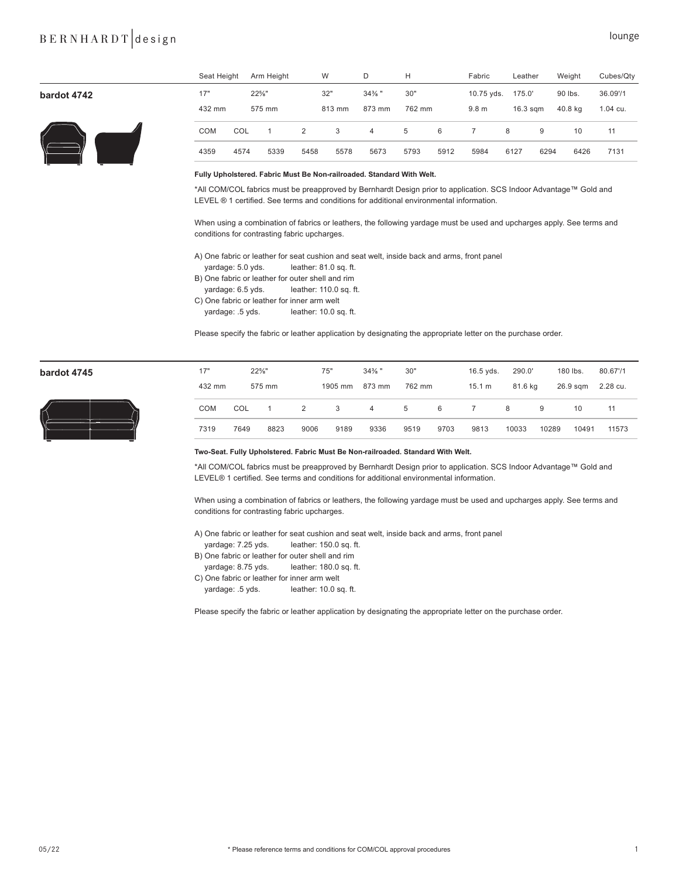## BERNHARDT design lounge

|             | Seat Height |      | Arm Height        |      | W      | D              | H      |      | Fabric           | Leather    |      | Weight  | Cubes/Qty |
|-------------|-------------|------|-------------------|------|--------|----------------|--------|------|------------------|------------|------|---------|-----------|
| bardot 4742 | 17"         |      | $22\frac{5}{8}$ " |      | 32"    | $34\%$ "       | 30"    |      | 10.75 yds.       | 175.0'     |      | 90 lbs. | 36.09'/1  |
|             | 432 mm      |      | 575 mm            |      | 813 mm | 873 mm         | 762 mm |      | 9.8 <sub>m</sub> | $16.3$ sqm |      | 40.8 kg | 1.04 cu.  |
|             | <b>COM</b>  | COL  |                   | 2    | 3      | $\overline{4}$ | 5      | 6    |                  | 8          | 9    | 10      | 11        |
|             | 4359        | 4574 | 5339              | 5458 | 5578   | 5673           | 5793   | 5912 | 5984             | 6127       | 6294 | 6426    | 7131      |

#### **Fully Upholstered. Fabric Must Be Non-railroaded. Standard With Welt.**

\*All COM/COL fabrics must be preapproved by Bernhardt Design prior to application. SCS Indoor Advantage™ Gold and LEVEL ® 1 certified. See terms and conditions for additional environmental information.

When using a combination of fabrics or leathers, the following yardage must be used and upcharges apply. See terms and conditions for contrasting fabric upcharges.

A) One fabric or leather for seat cushion and seat welt, inside back and arms, front panel

- yardage: 5.0 yds. leather: 81.0 sq. ft.
- B) One fabric or leather for outer shell and rim
- yardage: 6.5 yds. leather: 110.0 sq. ft.
- C) One fabric or leather for inner arm welt
- yardage: .5 yds. leather: 10.0 sq. ft.

Please specify the fabric or leather application by designating the appropriate letter on the purchase order.



| bardot 4745 | 17"        | $22\%$ " |        |      | 75"     | $34\%$ " | 30"    |      | $16.5$ yds. | 290.0'  |       | 180 lbs. | 80.67'/1 |  |
|-------------|------------|----------|--------|------|---------|----------|--------|------|-------------|---------|-------|----------|----------|--|
|             | 432 mm     |          | 575 mm |      | 1905 mm | 873 mm   | 762 mm |      | 15.1 m      | 81.6 kg |       | 26.9 sqm | 2.28 cu. |  |
| "⋌          | <b>COM</b> | COL      |        | 2    | 3       | 4        | 5      | 6    |             | 8       | 9     | 10       |          |  |
|             | 7319       | 7649     | 8823   | 9006 | 9189    | 9336     | 9519   | 9703 | 9813        | 10033   | 10289 | 10491    | 11573    |  |

### **Two-Seat. Fully Upholstered. Fabric Must Be Non-railroaded. Standard With Welt.**

\*All COM/COL fabrics must be preapproved by Bernhardt Design prior to application. SCS Indoor Advantage™ Gold and LEVEL® 1 certified. See terms and conditions for additional environmental information.

When using a combination of fabrics or leathers, the following yardage must be used and upcharges apply. See terms and conditions for contrasting fabric upcharges.

A) One fabric or leather for seat cushion and seat welt, inside back and arms, front panel

- yardage: 7.25 yds. leather: 150.0 sq. ft.
- B) One fabric or leather for outer shell and rim
- yardage: 8.75 yds. leather: 180.0 sq. ft.
- C) One fabric or leather for inner arm welt
- yardage: .5 yds. leather: 10.0 sq. ft.

Please specify the fabric or leather application by designating the appropriate letter on the purchase order.